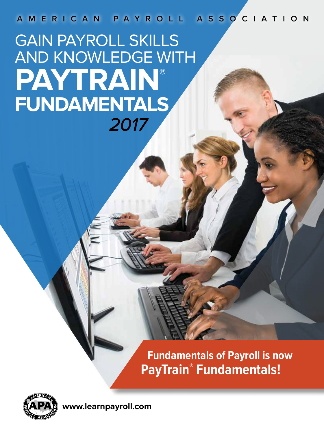**AMERICAN PAYROLL ASSOCIATION**

*2017* GAIN PAYROLL SKILLS AND KNOWLEDGE WITH **PAYTRAIN ®FUNDAMENTALS**

> **Fundamentals of Payroll is now PayTrain® Fundamentals!**



**www.learnpayroll.com**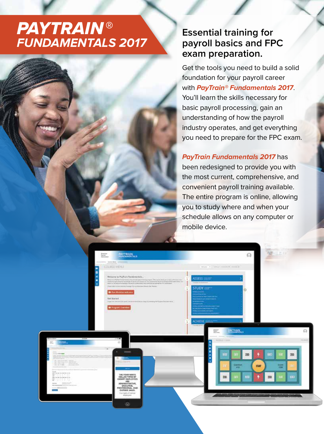## *PAYTRAIN* ® *FUNDAMENTALS 2017*

## **Essential training for payroll basics and FPC exam preparation.**

Get the tools you need to build a solid foundation for your payroll career with *PayTrain® Fundamentals 2017*. You'll learn the skills necessary for basic payroll processing, gain an understanding of how the payroll industry operates, and get everything you need to prepare for the FPC exam.

#### *PayTrain Fundamentals 2017* has

been redesigned to provide you with the most current, comprehensive, and convenient payroll training available. The entire program is online, allowing you to study where and when your schedule allows on any computer or mobile device.

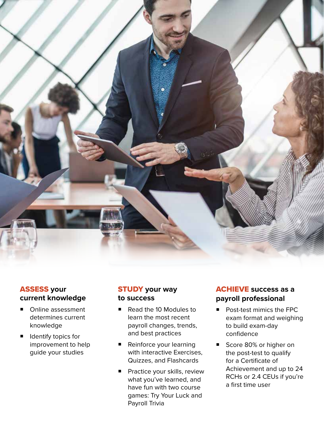

#### ASSESS **your current knowledge**

- Online assessment determines current knowledge
- **I** Identify topics for improvement to help guide your studies

#### STUDY **your way to success**

- Read the 10 Modules to learn the most recent payroll changes, trends, and best practices
- **E** Reinforce your learning with interactive Exercises, Quizzes, and Flashcards
- **F** Practice your skills, review what you've learned, and have fun with two course games: Try Your Luck and Payroll Trivia

#### ACHIEVE **success as a payroll professional**

- Post-test mimics the FPC exam format and weighing to build exam-day confidence
- Score 80% or higher on the post-test to qualify for a Certificate of Achievement and up to 24 RCHs or 2.4 CEUs if you're a first time user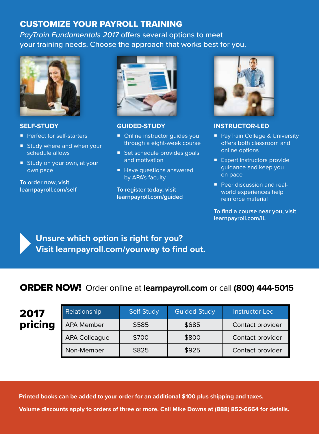### CUSTOMIZE YOUR PAYROLL TRAINING

*PayTrain Fundamentals 2017* offers several options to meet your training needs. Choose the approach that works best for you.



#### **SELF-STUDY**

- **Perfect for self-starters**
- **Study where and when your** schedule allows
- **Study on your own, at your** own pace

**To order now, visit learnpayroll.com/self**



#### **GUIDED-STUDY**

- Online instructor guides you through a eight-week course
- Set schedule provides goals and motivation
- Have questions answered by APA's faculty

**To register today, visit learnpayroll.com/guided**



#### **INSTRUCTOR-LED**

- PayTrain College & University offers both classroom and online options
- Expert instructors provide guidance and keep you on pace
- **Peer discussion and real**world experiences help reinforce material

**To find a course near you, visit learnpayroll.com/IL**

**Unsure which option is right for you? Visit learnpayroll.com/yourway to find out.**

## ORDER NOW! Order online at **learnpayroll.com** or call **(800) 444-5015**

| 2017    | <b>Relationship</b>  | Self-Study | <b>Guided-Study</b> | Instructor-Led   |
|---------|----------------------|------------|---------------------|------------------|
| pricing | <b>APA Member</b>    | \$585      | \$685               | Contact provider |
|         | <b>APA Colleague</b> | \$700      | \$800               | Contact provider |
|         | Non-Member           | \$825      | \$925               | Contact provider |

**Printed books can be added to your order for an additional \$100 plus shipping and taxes.**

**Volume discounts apply to orders of three or more. Call Mike Downs at (888) 852-6664 for details.**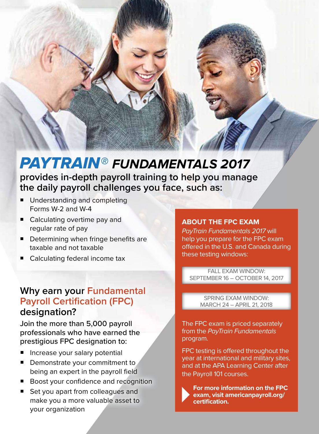# *PAYTRAIN® FUNDAMENTALS 2017*

**provides in-depth payroll training to help you manage the daily payroll challenges you face, such as:** 

- Understanding and completing Forms W-2 and W-4
- Calculating overtime pay and regular rate of pay
- **Determining when fringe benefits are** taxable and not taxable
- Calculating federal income tax

## **Why earn your Fundamental Payroll Certification (FPC) designation?**

Join the more than 5,000 payroll professionals who have earned the prestigious FPC designation to:

- Increase your salary potential
- $\blacksquare$  Demonstrate your commitment to being an expert in the payroll field
- Boost your confidence and recognition
- Set you apart from colleagues and make you a more valuable asset to your organization

#### **ABOUT THE FPC EXAM**

*PayTrain Fundamentals 2017* will help you prepare for the FPC exam offered in the U.S. and Canada during these testing windows:

FALL EXAM WINDOW: SEPTEMBER 16 – OCTOBER 14, 2017

SPRING EXAM WINDOW: MARCH 24 – APRIL 21, 2018

The FPC exam is priced separately from the *PayTrain Fundamentals* program.

FPC testing is offered throughout the year at international and military sites, and at the APA Learning Center after the Payroll 101 courses.



**For more information on the FPC exam, visit americanpayroll.org/ certification.**